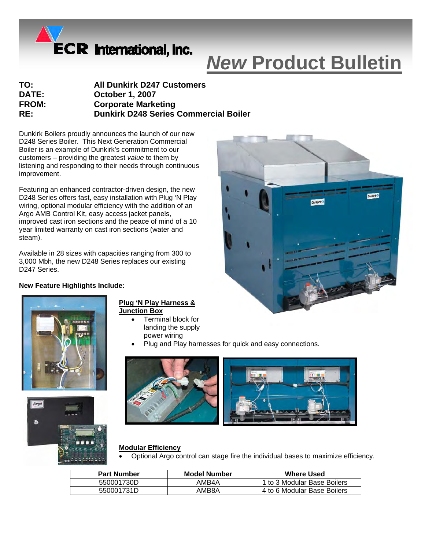

# *New* **Product Bulletin**

| TO:          | <b>All Dunkirk D247 Customers</b>            |
|--------------|----------------------------------------------|
| <b>DATE:</b> | <b>October 1, 2007</b>                       |
| <b>FROM:</b> | <b>Corporate Marketing</b>                   |
| RE:          | <b>Dunkirk D248 Series Commercial Boiler</b> |
|              |                                              |

Dunkirk Boilers proudly announces the launch of our new D248 Series Boiler. This Next Generation Commercial Boiler is an example of Dunkirk's commitment to our customers – providing the greatest *value* to them by listening and responding to their needs through continuous improvement.

Featuring an enhanced contractor-driven design, the new D248 Series offers fast, easy installation with Plug 'N Play wiring, optional modular efficiency with the addition of an Argo AMB Control Kit, easy access jacket panels, improved cast iron sections and the peace of mind of a 10 year limited warranty on cast iron sections (water and steam).

Available in 28 sizes with capacities ranging from 300 to 3,000 Mbh, the new D248 Series replaces our existing D247 Series.

## **New Feature Highlights Include:**



## **Plug 'N Play Harness & Junction Box**

- Terminal block for landing the supply power wiring
- Plug and Play harnesses for quick and easy connections.



#### **Modular Efficiency**

• Optional Argo control can stage fire the individual bases to maximize efficiency.

| <b>Part Number</b> | Model Number | <b>Where Used</b>           |
|--------------------|--------------|-----------------------------|
| 550001730D         | AMB4A        | 1 to 3 Modular Base Boilers |
| 550001731D         | AMB8A        | 4 to 6 Modular Base Boilers |